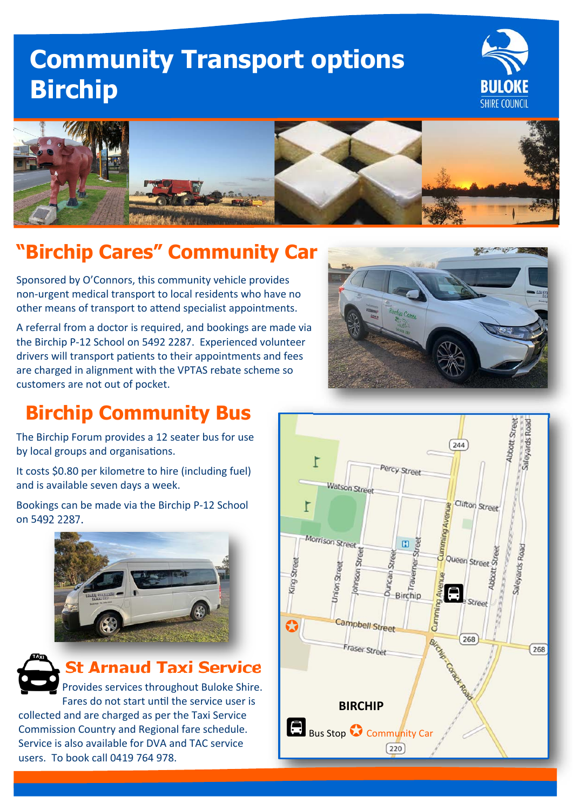# **Community Transport options Birchip**





# **"Birchip Cares" Community Car**

Sponsored by O'Connors, this community vehicle provides non‐urgent medical transport to local residents who have no other means of transport to attend specialist appointments.

A referral from a doctor is required, and bookings are made via the Birchip P‐12 School on 5492 2287. Experienced volunteer drivers will transport patients to their appointments and fees are charged in alignment with the VPTAS rebate scheme so customers are not out of pocket.



### **Birchip Community Bus**

The Birchip Forum provides a 12 seater bus for use by local groups and organisations.

It costs \$0.80 per kilometre to hire (including fuel) and is available seven days a week.

Bookings can be made via the Birchip P‐12 School on 5492 2287.





#### **St Arnaud Taxi Service**

Provides services throughout Buloke Shire. Fares do not start until the service user is collected and are charged as per the Taxi Service Commission Country and Regional fare schedule. Service is also available for DVA and TAC service users. To book call 0419 764 978.